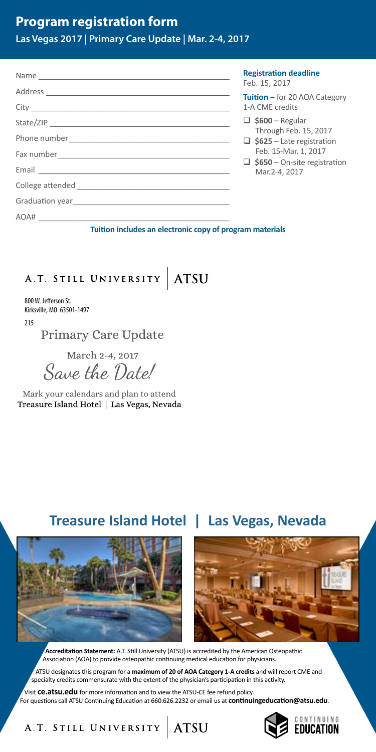# A.T. STILL UNIVERSITY ATSU

800 W. Jefferson St. Kirksville, MO 63501-1497

215

**Primary Care Update** 

March 2-4, 2017 Save the Date!

Mark your calendars and plan to attend Treasure Island Hotel | Las Vegas, Nevada

# **Treasure Island Hotel | Las Vegas, Nevada**





**Accreditation Statement:** A.T. Still University (ATSU) is accredited by the American Osteopathic Association (AOA) to provide osteopathic continuing medical education for physicians.

ATSU designates this program for a **maximum of 20 of AOA Category 1-A credits** and will report CME and specialty credits commensurate with the extent of the physician's participation in this activity.

Visit **ce.atsu.edu** for more information and to view the ATSU-CE fee refund policy. For questions call ATSU Continuing Education at 660.626.2232 or email us at **continuingeducation@atsu.edu**.

A.T. STILL UNIVERSITY ATSU

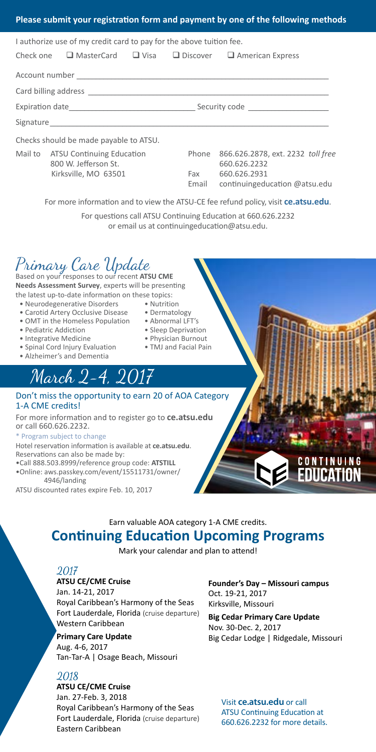## Primary Care Update Based on your responses to our recent **ATSU CME**

**Needs Assessment Survey**, experts will be presenting the latest up-to-date information on these topics:

- Neurodegenerative Disorders Nutrition
- Carotid Artery Occlusive Disease Dermatology
- OMT in the Homeless Population Abnormal LFT's
- Pediatric Addiction Sleep Deprivation
- Integrative Medicine Physician Burnout
- Spinal Cord Injury Evaluation TMJ and Facial Pain
- Alzheimer's and Dementia

# March 2-4, 2017

### Don't miss the opportunity to earn 20 of AOA Category 1-A CME credits!

For more information and to register go to **ce.atsu.edu** or call 660.626.2232.

#### \* Program subject to change

Hotel reservation information is available at **ce.atsu.edu**. Reservations can also be made by:

- •Call 888.503.8999/reference group code: **ATSTILL**
- •Online: aws.passkey.com/event/15511731/owner/ 4946/landing
- ATSU discounted rates expire Feb. 10, 2017

## Earn valuable AOA category 1-A CME credits.

## **Continuing Education Upcoming Programs**

Mark your calendar and plan to attend!

## 2017

#### **ATSU CE/CME Cruise**

Jan. 14-21, 2017 Royal Caribbean's Harmony of the Seas Fort Lauderdale, Florida (cruise departure) Western Caribbean

### **Primary Care Update** Aug. 4-6, 2017 Tan-Tar-A | Osage Beach, Missouri

## 2018

## **ATSU CE/CME Cruise** Jan. 27-Feb. 3, 2018 Royal Caribbean's Harmony of the Seas

Fort Lauderdale, Florida (cruise departure) Eastern Caribbean

#### **Founder's Day – Missouri campus** Oct. 19-21, 2017 Kirksville, Missouri

**Big Cedar Primary Care Update** Nov. 30-Dec. 2, 2017 Big Cedar Lodge | Ridgedale, Missouri

Visit **ce.atsu.edu** or call ATSU Continuing Education at 660.626.2232 for more details.

- 
- 
- 
- 
- 
-